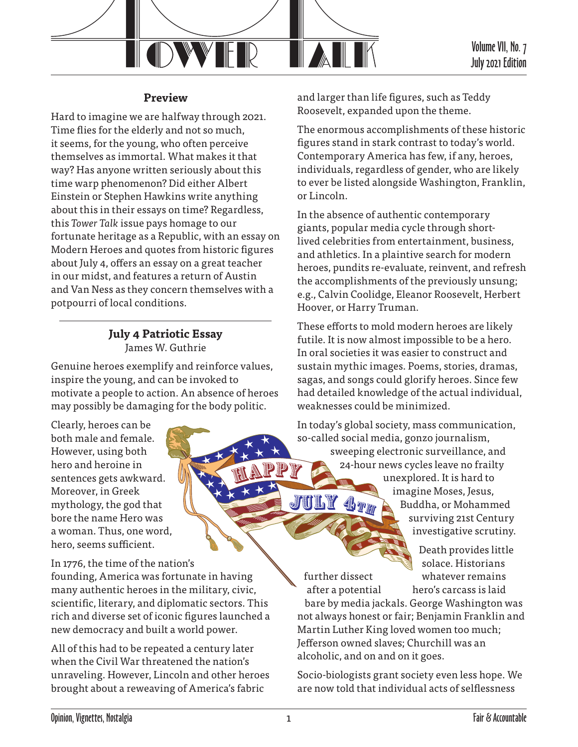

Volume VII, No. 7 July 2021 Edition

#### **Preview**

Hard to imagine we are halfway through 2021. Time flies for the elderly and not so much, it seems, for the young, who often perceive themselves as immortal. What makes it that way? Has anyone written seriously about this time warp phenomenon? Did either Albert Einstein or Stephen Hawkins write anything about this in their essays on time? Regardless, this *Tower Talk* issue pays homage to our fortunate heritage as a Republic, with an essay on Modern Heroes and quotes from historic figures about July 4, offers an essay on a great teacher in our midst, and features a return of Austin and Van Ness as they concern themselves with a potpourri of local conditions.

#### **July 4 Patriotic Essay** James W. Guthrie

Genuine heroes exemplify and reinforce values, inspire the young, and can be invoked to motivate a people to action. An absence of heroes may possibly be damaging for the body politic.

Clearly, heroes can be both male and female. However, using both hero and heroine in sentences gets awkward. Moreover, in Greek mythology, the god that bore the name Hero was a woman. Thus, one word, hero, seems sufficient.

In 1776, the time of the nation's

founding, America was fortunate in having many authentic heroes in the military, civic, scientific, literary, and diplomatic sectors. This rich and diverse set of iconic figures launched a new democracy and built a world power.

All of this had to be repeated a century later when the Civil War threatened the nation's unraveling. However, Lincoln and other heroes brought about a reweaving of America's fabric

and larger than life figures, such as Teddy Roosevelt, expanded upon the theme.

The enormous accomplishments of these historic figures stand in stark contrast to today's world. Contemporary America has few, if any, heroes, individuals, regardless of gender, who are likely to ever be listed alongside Washington, Franklin, or Lincoln.

In the absence of authentic contemporary giants, popular media cycle through shortlived celebrities from entertainment, business, and athletics. In a plaintive search for modern heroes, pundits re-evaluate, reinvent, and refresh the accomplishments of the previously unsung; e.g., Calvin Coolidge, Eleanor Roosevelt, Herbert Hoover, or Harry Truman.

These efforts to mold modern heroes are likely futile. It is now almost impossible to be a hero. In oral societies it was easier to construct and sustain mythic images. Poems, stories, dramas, sagas, and songs could glorify heroes. Since few had detailed knowledge of the actual individual, weaknesses could be minimized.

In today's global society, mass communication, so-called social media, gonzo journalism,

sweeping electronic surveillance, and 24-hour news cycles leave no frailty unexplored. It is hard to imagine Moses, Jesus, Buddha, or Mohammed surviving 21st Century investigative scrutiny.

Death provides little solace. Historians further dissect whatever remains

after a potential hero's carcass is laid bare by media jackals. George Washington was not always honest or fair; Benjamin Franklin and Martin Luther King loved women too much; Jefferson owned slaves; Churchill was an alcoholic, and on and on it goes.

Socio-biologists grant society even less hope. We are now told that individual acts of selflessness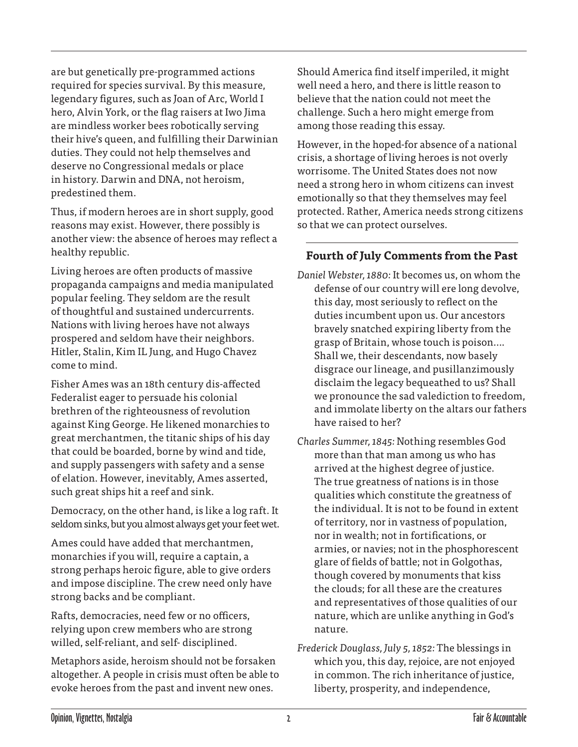are but genetically pre-programmed actions required for species survival. By this measure, legendary figures, such as Joan of Arc, World I hero, Alvin York, or the flag raisers at Iwo Jima are mindless worker bees robotically serving their hive's queen, and fulfilling their Darwinian duties. They could not help themselves and deserve no Congressional medals or place in history. Darwin and DNA, not heroism, predestined them.

Thus, if modern heroes are in short supply, good reasons may exist. However, there possibly is another view: the absence of heroes may reflect a healthy republic.

Living heroes are often products of massive propaganda campaigns and media manipulated popular feeling. They seldom are the result of thoughtful and sustained undercurrents. Nations with living heroes have not always prospered and seldom have their neighbors. Hitler, Stalin, Kim IL Jung, and Hugo Chavez come to mind.

Fisher Ames was an 18th century dis-affected Federalist eager to persuade his colonial brethren of the righteousness of revolution against King George. He likened monarchies to great merchantmen, the titanic ships of his day that could be boarded, borne by wind and tide, and supply passengers with safety and a sense of elation. However, inevitably, Ames asserted, such great ships hit a reef and sink.

Democracy, on the other hand, is like a log raft. It seldom sinks, but you almost always get your feet wet.

Ames could have added that merchantmen, monarchies if you will, require a captain, a strong perhaps heroic figure, able to give orders and impose discipline. The crew need only have strong backs and be compliant.

Rafts, democracies, need few or no officers, relying upon crew members who are strong willed, self-reliant, and self- disciplined.

Metaphors aside, heroism should not be forsaken altogether. A people in crisis must often be able to evoke heroes from the past and invent new ones.

Should America find itself imperiled, it might well need a hero, and there is little reason to believe that the nation could not meet the challenge. Such a hero might emerge from among those reading this essay.

However, in the hoped-for absence of a national crisis, a shortage of living heroes is not overly worrisome. The United States does not now need a strong hero in whom citizens can invest emotionally so that they themselves may feel protected. Rather, America needs strong citizens so that we can protect ourselves.

## **Fourth of July Comments from the Past**

- *Daniel Webster, 1880:* It becomes us, on whom the defense of our country will ere long devolve, this day, most seriously to reflect on the duties incumbent upon us. Our ancestors bravely snatched expiring liberty from the grasp of Britain, whose touch is poison…. Shall we, their descendants, now basely disgrace our lineage, and pusillanzimously disclaim the legacy bequeathed to us? Shall we pronounce the sad valediction to freedom, and immolate liberty on the altars our fathers have raised to her?
- *Charles Summer, 1845:* Nothing resembles God more than that man among us who has arrived at the highest degree of justice. The true greatness of nations is in those qualities which constitute the greatness of the individual. It is not to be found in extent of territory, nor in vastness of population, nor in wealth; not in fortifications, or armies, or navies; not in the phosphorescent glare of fields of battle; not in Golgothas, though covered by monuments that kiss the clouds; for all these are the creatures and representatives of those qualities of our nature, which are unlike anything in God's nature.
- *Frederick Douglass, July 5, 1852:* The blessings in which you, this day, rejoice, are not enjoyed in common. The rich inheritance of justice, liberty, prosperity, and independence,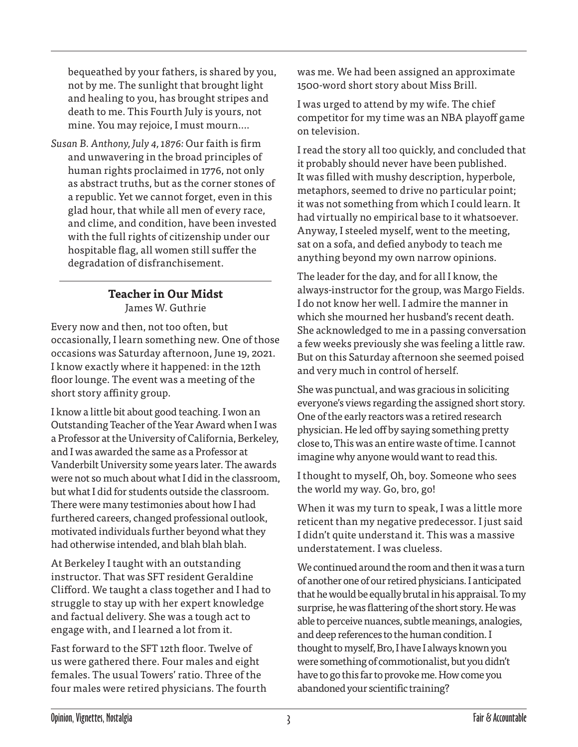bequeathed by your fathers, is shared by you, not by me. The sunlight that brought light and healing to you, has brought stripes and death to me. This Fourth July is yours, not mine. You may rejoice, I must mourn….

*Susan B. Anthony, July 4, 1876:* Our faith is firm and unwavering in the broad principles of human rights proclaimed in 1776, not only as abstract truths, but as the corner stones of a republic. Yet we cannot forget, even in this glad hour, that while all men of every race, and clime, and condition, have been invested with the full rights of citizenship under our hospitable flag, all women still suffer the degradation of disfranchisement.

#### **Teacher in Our Midst** James W. Guthrie

Every now and then, not too often, but occasionally, I learn something new. One of those occasions was Saturday afternoon, June 19, 2021. I know exactly where it happened: in the 12th floor lounge. The event was a meeting of the short story affinity group.

I know a little bit about good teaching. I won an Outstanding Teacher of the Year Award when I was a Professor at the University of California, Berkeley, and I was awarded the same as a Professor at Vanderbilt University some years later. The awards were not so much about what I did in the classroom, but what I did for students outside the classroom. There were many testimonies about how I had furthered careers, changed professional outlook, motivated individuals further beyond what they had otherwise intended, and blah blah blah.

At Berkeley I taught with an outstanding instructor. That was SFT resident Geraldine Clifford. We taught a class together and I had to struggle to stay up with her expert knowledge and factual delivery. She was a tough act to engage with, and I learned a lot from it.

Fast forward to the SFT 12th floor. Twelve of us were gathered there. Four males and eight females. The usual Towers' ratio. Three of the four males were retired physicians. The fourth was me. We had been assigned an approximate 1500-word short story about Miss Brill.

I was urged to attend by my wife. The chief competitor for my time was an NBA playoff game on television.

I read the story all too quickly, and concluded that it probably should never have been published. It was filled with mushy description, hyperbole, metaphors, seemed to drive no particular point; it was not something from which I could learn. It had virtually no empirical base to it whatsoever. Anyway, I steeled myself, went to the meeting, sat on a sofa, and defied anybody to teach me anything beyond my own narrow opinions.

The leader for the day, and for all I know, the always-instructor for the group, was Margo Fields. I do not know her well. I admire the manner in which she mourned her husband's recent death. She acknowledged to me in a passing conversation a few weeks previously she was feeling a little raw. But on this Saturday afternoon she seemed poised and very much in control of herself.

She was punctual, and was gracious in soliciting everyone's views regarding the assigned short story. One of the early reactors was a retired research physician. He led off by saying something pretty close to, This was an entire waste of time. I cannot imagine why anyone would want to read this.

I thought to myself, Oh, boy. Someone who sees the world my way. Go, bro, go!

When it was my turn to speak, I was a little more reticent than my negative predecessor. I just said I didn't quite understand it. This was a massive understatement. I was clueless.

We continued around the room and then it was a turn of another one of our retired physicians. I anticipated that he would be equally brutal in his appraisal. To my surprise, he was flattering of the short story. He was able to perceive nuances, subtle meanings, analogies, and deep references to the human condition. I thought to myself, Bro, I have I always known you were something of commotionalist, but you didn't have to go this far to provoke me. How come you abandoned your scientific training?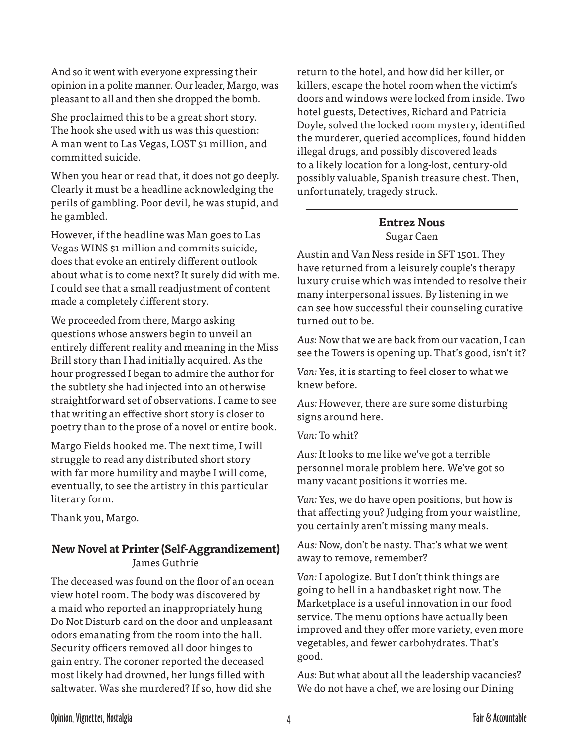And so it went with everyone expressing their opinion in a polite manner. Our leader, Margo, was pleasant to all and then she dropped the bomb.

She proclaimed this to be a great short story. The hook she used with us was this question: A man went to Las Vegas, LOST \$1 million, and committed suicide.

When you hear or read that, it does not go deeply. Clearly it must be a headline acknowledging the perils of gambling. Poor devil, he was stupid, and he gambled.

However, if the headline was Man goes to Las Vegas WINS \$1 million and commits suicide, does that evoke an entirely different outlook about what is to come next? It surely did with me. I could see that a small readjustment of content made a completely different story.

We proceeded from there, Margo asking questions whose answers begin to unveil an entirely different reality and meaning in the Miss Brill story than I had initially acquired. As the hour progressed I began to admire the author for the subtlety she had injected into an otherwise straightforward set of observations. I came to see that writing an effective short story is closer to poetry than to the prose of a novel or entire book.

Margo Fields hooked me. The next time, I will struggle to read any distributed short story with far more humility and maybe I will come, eventually, to see the artistry in this particular literary form.

Thank you, Margo.

# **New Novel at Printer (Self-Aggrandizement)** James Guthrie

The deceased was found on the floor of an ocean view hotel room. The body was discovered by a maid who reported an inappropriately hung Do Not Disturb card on the door and unpleasant odors emanating from the room into the hall. Security officers removed all door hinges to gain entry. The coroner reported the deceased most likely had drowned, her lungs filled with saltwater. Was she murdered? If so, how did she

return to the hotel, and how did her killer, or killers, escape the hotel room when the victim's doors and windows were locked from inside. Two hotel guests, Detectives, Richard and Patricia Doyle, solved the locked room mystery, identified the murderer, queried accomplices, found hidden illegal drugs, and possibly discovered leads to a likely location for a long-lost, century-old possibly valuable, Spanish treasure chest. Then, unfortunately, tragedy struck.

### **Entrez Nous** Sugar Caen

Austin and Van Ness reside in SFT 1501. They have returned from a leisurely couple's therapy luxury cruise which was intended to resolve their many interpersonal issues. By listening in we can see how successful their counseling curative turned out to be.

*Aus:* Now that we are back from our vacation, I can see the Towers is opening up. That's good, isn't it?

*Van:* Yes, it is starting to feel closer to what we knew before.

*Aus:* However, there are sure some disturbing signs around here.

*Van:* To whit?

*Aus:* It looks to me like we've got a terrible personnel morale problem here. We've got so many vacant positions it worries me.

*Van:* Yes, we do have open positions, but how is that affecting you? Judging from your waistline, you certainly aren't missing many meals.

*Aus:* Now, don't be nasty. That's what we went away to remove, remember?

*Van:* I apologize. But I don't think things are going to hell in a handbasket right now. The Marketplace is a useful innovation in our food service. The menu options have actually been improved and they offer more variety, even more vegetables, and fewer carbohydrates. That's good.

*Aus:* But what about all the leadership vacancies? We do not have a chef, we are losing our Dining